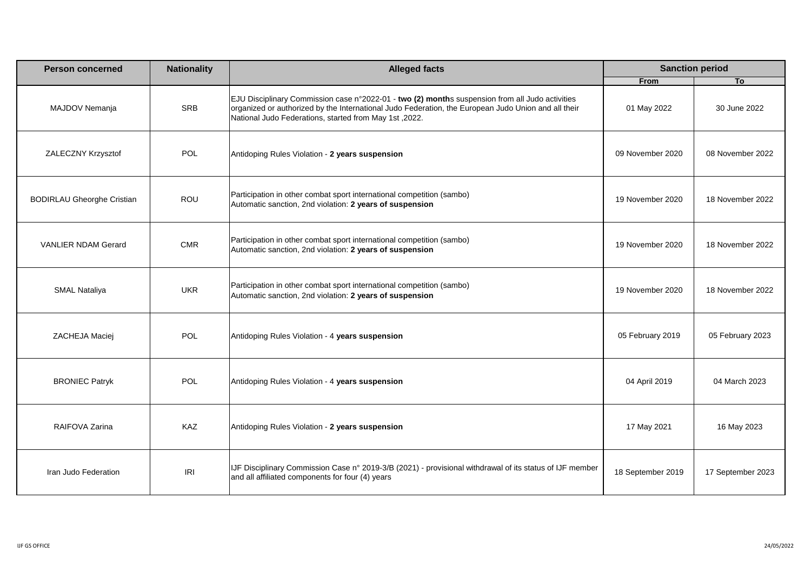| <b>Person concerned</b>           | <b>Nationality</b> | <b>Alleged facts</b>                                                                                                                                                                                                                                             | <b>Sanction period</b> |                   |
|-----------------------------------|--------------------|------------------------------------------------------------------------------------------------------------------------------------------------------------------------------------------------------------------------------------------------------------------|------------------------|-------------------|
|                                   |                    |                                                                                                                                                                                                                                                                  | From                   | T <sub>o</sub>    |
| MAJDOV Nemanja                    | SRB                | EJU Disciplinary Commission case n°2022-01 - two (2) months suspension from all Judo activities<br>organized or authorized by the International Judo Federation, the European Judo Union and all their<br>National Judo Federations, started from May 1st, 2022. | 01 May 2022            | 30 June 2022      |
| ZALECZNY Krzysztof                | POL                | Antidoping Rules Violation - 2 years suspension                                                                                                                                                                                                                  | 09 November 2020       | 08 November 2022  |
| <b>BODIRLAU Gheorghe Cristian</b> | ROU                | Participation in other combat sport international competition (sambo)<br>Automatic sanction, 2nd violation: 2 years of suspension                                                                                                                                | 19 November 2020       | 18 November 2022  |
| <b>VANLIER NDAM Gerard</b>        | <b>CMR</b>         | Participation in other combat sport international competition (sambo)<br>Automatic sanction, 2nd violation: 2 years of suspension                                                                                                                                | 19 November 2020       | 18 November 2022  |
| <b>SMAL Nataliya</b>              | <b>UKR</b>         | Participation in other combat sport international competition (sambo)<br>Automatic sanction, 2nd violation: 2 years of suspension                                                                                                                                | 19 November 2020       | 18 November 2022  |
| ZACHEJA Maciej                    | <b>POL</b>         | Antidoping Rules Violation - 4 years suspension                                                                                                                                                                                                                  | 05 February 2019       | 05 February 2023  |
| <b>BRONIEC Patryk</b>             | <b>POL</b>         | Antidoping Rules Violation - 4 years suspension                                                                                                                                                                                                                  | 04 April 2019          | 04 March 2023     |
| RAIFOVA Zarina                    | KAZ                | Antidoping Rules Violation - 2 years suspension                                                                                                                                                                                                                  | 17 May 2021            | 16 May 2023       |
| Iran Judo Federation              | <b>IRI</b>         | IJF Disciplinary Commission Case n° 2019-3/B (2021) - provisional withdrawal of its status of IJF member<br>and all affiliated components for four (4) years                                                                                                     | 18 September 2019      | 17 September 2023 |